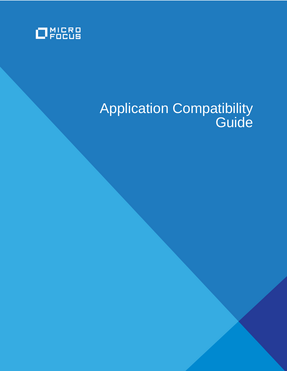

# Application Compatibility **Guide**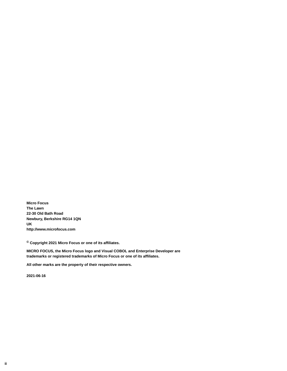**Micro Focus The Lawn 22-30 Old Bath Road Newbury, Berkshire RG14 1QN UK http://www.microfocus.com**

**© Copyright 2021 Micro Focus or one of its affiliates.**

**MICRO FOCUS, the Micro Focus logo and Visual COBOL and Enterprise Developer are trademarks or registered trademarks of Micro Focus or one of its affiliates.**

**All other marks are the property of their respective owners.**

**2021-06-16**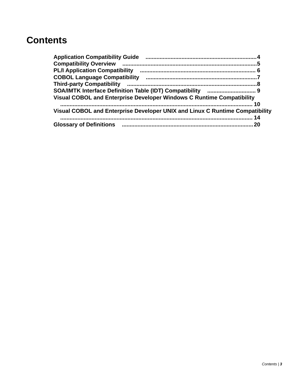#### **Contents**

| Visual COBOL and Enterprise Developer Windows C Runtime Compatibility        |    |
|------------------------------------------------------------------------------|----|
|                                                                              | 10 |
| Visual COBOL and Enterprise Developer UNIX and Linux C Runtime Compatibility |    |
|                                                                              |    |
|                                                                              |    |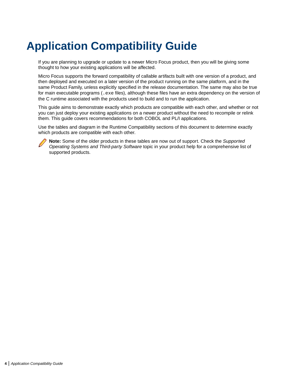## <span id="page-3-0"></span>**Application Compatibility Guide**

If you are planning to upgrade or update to a newer Micro Focus product, then you will be giving some thought to how your existing applications will be affected.

Micro Focus supports the forward compatibility of callable artifacts built with one version of a product, and then deployed and executed on a later version of the product running on the same platform, and in the same Product Family, unless explicitly specified in the release documentation. The same may also be true for main executable programs (. exe files), although these files have an extra dependency on the version of the C runtime associated with the products used to build and to run the application.

This guide aims to demonstrate exactly which products are compatible with each other, and whether or not you can just deploy your existing applications on a newer product without the need to recompile or relink them. This guide covers recommendations for both COBOL and PL/I applications.

Use the tables and diagram in the Runtime Compatibility sections of this document to determine exactly which products are compatible with each other.



**Note:** Some of the older products in these tables are now out of support. Check the Supported Operating Systems and Third-party Software topic in your product help for a comprehensive list of supported products.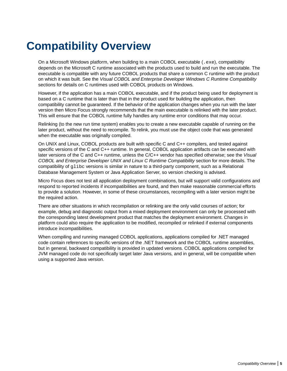## <span id="page-4-0"></span>**Compatibility Overview**

On a Microsoft Windows platform, when building to a main COBOL executable (. exe), compatibility depends on the Microsoft C runtime associated with the products used to build and run the executable. The executable is compatible with any future COBOL products that share a common C runtime with the product on which it was built. See the Visual COBOL and Enterprise Developer Windows C Runtime Compatibility sections for details on C runtimes used with COBOL products on Windows.

However, if the application has a main COBOL executable, and if the product being used for deployment is based on a C runtime that is later than that in the product used for building the application, then compatibility cannot be guaranteed. If the behavior of the application changes when you run with the later version then Micro Focus strongly recommends that the main executable is relinked with the later product. This will ensure that the COBOL runtime fully handles any runtime error conditions that may occur.

Relinking (to the new run time system) enables you to create a new executable capable of running on the later product, without the need to recompile. To relink, you must use the object code that was generated when the executable was originally compiled.

On UNIX and Linux, COBOL products are built with specific C and C++ compilers, and tested against specific versions of the C and C++ runtime. In general, COBOL application artifacts can be executed with later versions of the C and C++ runtime, unless the C/C++ vendor has specified otherwise; see the Visual COBOL and Enterprise Developer UNIX and Linux C Runtime Compatibility section for more details. The compatibility of  $q\text{libc}$  versions is similar in nature to a third-party component, such as a Relational Database Management System or Java Application Server, so version checking is advised.

Micro Focus does not test all application deployment combinations, but will support valid configurations and respond to reported incidents if incompatibilities are found, and then make reasonable commercial efforts to provide a solution. However, in some of these circumstances, recompiling with a later version might be the required action.

There are other situations in which recompilation or relinking are the only valid courses of action; for example, debug and diagnostic output from a mixed deployment environment can only be processed with the corresponding latest development product that matches the deployment environment. Changes in platform could also require the application to be modified, recompiled or relinked if external components introduce incompatibilities.

When compiling and running managed COBOL applications, applications compiled for .NET managed code contain references to specific versions of the .NET framework and the COBOL runtime assemblies, but in general, backward compatibility is provided in updated versions. COBOL applications compiled for JVM managed code do not specifically target later Java versions, and in general, will be compatible when using a supported Java version.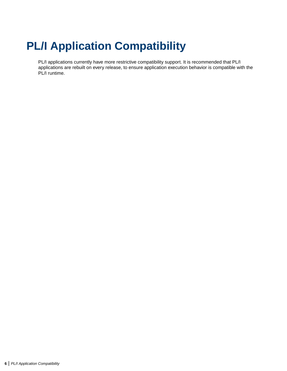# <span id="page-5-0"></span>**PL/I Application Compatibility**

PL/I applications currently have more restrictive compatibility support. It is recommended that PL/I applications are rebuilt on every release, to ensure application execution behavior is compatible with the PL/I runtime.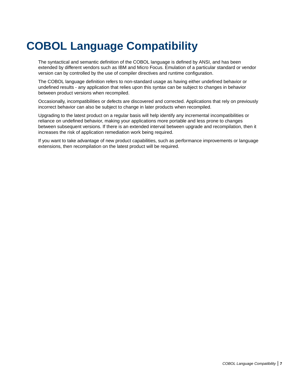## <span id="page-6-0"></span>**COBOL Language Compatibility**

The syntactical and semantic definition of the COBOL language is defined by ANSI, and has been extended by different vendors such as IBM and Micro Focus. Emulation of a particular standard or vendor version can by controlled by the use of compiler directives and runtime configuration.

The COBOL language definition refers to non-standard usage as having either undefined behavior or undefined results - any application that relies upon this syntax can be subject to changes in behavior between product versions when recompiled.

Occasionally, incompatibilities or defects are discovered and corrected. Applications that rely on previously incorrect behavior can also be subject to change in later products when recompiled.

Upgrading to the latest product on a regular basis will help identify any incremental incompatibilities or reliance on undefined behavior, making your applications more portable and less prone to changes between subsequent versions. If there is an extended interval between upgrade and recompilation, then it increases the risk of application remediation work being required.

If you want to take advantage of new product capabilities, such as performance improvements or language extensions, then recompilation on the latest product will be required.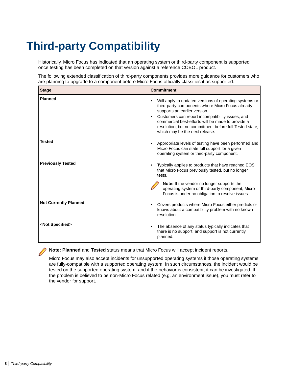## <span id="page-7-0"></span>**Third-party Compatibility**

Historically, Micro Focus has indicated that an operating system or third-party component is supported once testing has been completed on that version against a reference COBOL product.

The following extended classification of third-party components provides more guidance for customers who are planning to upgrade to a component before Micro Focus officially classifies it as supported.

| <b>Stage</b>                 | <b>Commitment</b>                                                                                                                                                                                                                                                                                                                                |
|------------------------------|--------------------------------------------------------------------------------------------------------------------------------------------------------------------------------------------------------------------------------------------------------------------------------------------------------------------------------------------------|
| <b>Planned</b>               | Will apply to updated versions of operating systems or<br>third-party components where Micro Focus already<br>supports an earlier version.<br>Customers can report incompatibility issues, and<br>commercial best-efforts will be made to provide a<br>resolution, but no commitment before full Tested state,<br>which may be the next release. |
| <b>Tested</b>                | Appropriate levels of testing have been performed and<br>Micro Focus can state full support for a given<br>operating system or third-party component.                                                                                                                                                                                            |
| <b>Previously Tested</b>     | Typically applies to products that have reached EOS,<br>that Micro Focus previously tested, but no longer<br>tests.                                                                                                                                                                                                                              |
|                              | <b>Note:</b> If the vendor no longer supports the<br>operating system or third-party component, Micro<br>Focus is under no obligation to resolve issues.                                                                                                                                                                                         |
| <b>Not Currently Planned</b> | Covers products where Micro Focus either predicts or<br>knows about a compatibility problem with no known<br>resolution.                                                                                                                                                                                                                         |
| <not specified=""></not>     | The absence of any status typically indicates that<br>there is no support, and support is not currently<br>planned.                                                                                                                                                                                                                              |

**Note: Planned** and **Tested** status means that Micro Focus will accept incident reports.

Micro Focus may also accept incidents for unsupported operating systems if those operating systems are fully-compatible with a supported operating system. In such circumstances, the incident would be tested on the supported operating system, and if the behavior is consistent, it can be investigated. If the problem is believed to be non-Micro Focus related (e.g. an environment issue), you must refer to the vendor for support.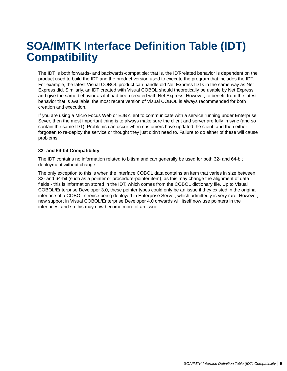### <span id="page-8-0"></span>**SOA/IMTK Interface Definition Table (IDT) Compatibility**

The IDT is both forwards- and backwards-compatible: that is, the IDT-related behavior is dependent on the product used to build the IDT and the product version used to execute the program that includes the IDT. For example, the latest Visual COBOL product can handle old Net Express IDTs in the same way as Net Express did. Similarly, an IDT created with Visual COBOL should theoretically be usable by Net Express and give the same behavior as if it had been created with Net Express. However, to benefit from the latest behavior that is available, the most recent version of Visual COBOL is always recommended for both creation and execution.

If you are using a Micro Focus Web or EJB client to communicate with a service running under Enterprise Sever, then the most important thing is to always make sure the client and server are fully in sync (and so contain the same IDT). Problems can occur when customers have updated the client, and then either forgotten to re-deploy the service or thought they just didn't need to. Failure to do either of these will cause problems.

#### **32- and 64-bit Compatibility**

The IDT contains no information related to bitism and can generally be used for both 32- and 64-bit deployment without change.

The only exception to this is when the interface COBOL data contains an item that varies in size between 32- and 64-bit (such as a pointer or procedure-pointer item), as this may change the alignment of data fields - this is information stored in the IDT, which comes from the COBOL dictionary file. Up to Visual COBOL/Enterprise Developer 3.0, these pointer types could only be an issue if they existed in the original interface of a COBOL service being deployed in Enterprise Server, which admittedly is very rare. However, new support in Visual COBOL/Enterprise Developer 4.0 onwards will itself now use pointers in the interfaces, and so this may now become more of an issue.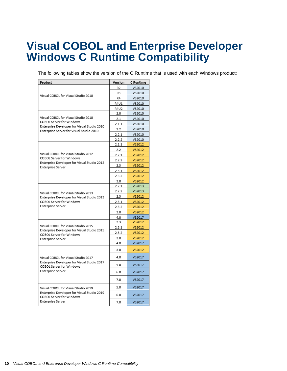### <span id="page-9-0"></span>**Visual COBOL and Enterprise Developer Windows C Runtime Compatibility**

The following tables show the version of the C Runtime that is used with each Windows product:

| Product                                                                            | Version | C Runtime |
|------------------------------------------------------------------------------------|---------|-----------|
|                                                                                    | R2      | VS2010    |
|                                                                                    | R3      | VS2010    |
| Visual COBOL for Visual Studio 2010                                                | R4      | VS2010    |
|                                                                                    | R4U1    | VS2010    |
|                                                                                    | R4U2    | VS2010    |
|                                                                                    | 2.0     | VS2010    |
| Visual COBOL for Visual Studio 2010                                                | 2.1     | VS2010    |
| COBOL Server for Windows<br>Enterprise Developer for Visual Studio 2010            | 2.1.1   | VS2010    |
| Enterprise Server for Visual Studio 2010                                           | 2.2     | VS2010    |
|                                                                                    | 2.2.1   | VS2010    |
|                                                                                    | 2.2.2   | VS2010    |
|                                                                                    | 2.1.1   | VS2012    |
|                                                                                    | 2.2     | VS2012    |
| Visual COBOL for Visual Studio 2012                                                | 2.2.1   | VS2012    |
| COBOL Server for Windows<br>Enterprise Developer for Visual Studio 2012            | 2.2.2   | VS2012    |
| <b>Enterprise Server</b>                                                           | 2.3     | VS2012    |
|                                                                                    | 2.3.1   | VS2012    |
|                                                                                    | 2.3.2   | VS2012    |
|                                                                                    | 3.0     | VS2012    |
|                                                                                    | 2.2.1   | VS2013    |
| Visual COBOL for Visual Studio 2013                                                | 2.2.2   | VS2013    |
| Enterprise Developer for Visual Studio 2013                                        | 2.3     | VS2012    |
| COBOL Server for Windows                                                           | 2.3.1   | VS2012    |
| Enterprise Server                                                                  | 2.3.2   | VS2012    |
|                                                                                    | 3.0     | VS2012    |
|                                                                                    | 4.0     | VS2017    |
|                                                                                    | 2.3     | VS2012    |
| Visual COBOL for Visual Studio 2015<br>Enterprise Developer for Visual Studio 2015 | 2.3.1   | VS2012    |
| COBOL Server for Windows                                                           | 2.3.2   | VS2012    |
| Enterprise Server                                                                  | 3.0     | VS2012    |
|                                                                                    | 4.0     | VS2017    |
|                                                                                    | 3.0     | VS2012    |
| Visual COBOL for Visual Studio 2017                                                | 4.0     | VS2017    |
| Enterprise Developer for Visual Studio 2017<br>COBOL Server for Windows            | 5.0     | VS2017    |
| <b>Enterprise Server</b>                                                           | 6.0     | VS2017    |
|                                                                                    | 7.0     | VS2017    |
| Visual COBOL for Visual Studio 2019                                                | 5.0     | VS2017    |
| Enterprise Developer for Visual Studio 2019<br>COBOL Server for Windows            | 6.0     | VS2017    |
| <b>Enterprise Server</b>                                                           | 7.0     | VS2017    |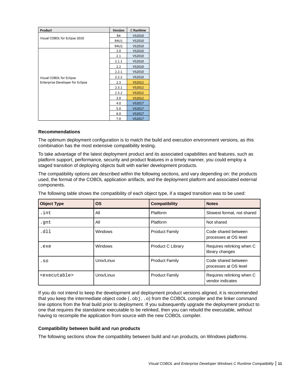| Product                          | Version | C Runtime |
|----------------------------------|---------|-----------|
|                                  | R4      | VS2010    |
| Visual COBOL for Eclipse 2010    | R4U1    | VS2010    |
|                                  | R4U2    | VS2010    |
|                                  | 2.0     | VS2010    |
|                                  | 2.1     | VS2010    |
|                                  | 2.1.1   | VS2010    |
|                                  | 2.2     | VS2010    |
|                                  | 2.2.1   | VS2010    |
| Visual COBOL for Eclipse         | 2.2.2   | VS2010    |
| Enterprise Developer for Eclipse | 2.3     | VS2012    |
|                                  | 2.3.1   | VS2012    |
|                                  | 2.3.2   | VS2012    |
|                                  | 3.0     | VS2012    |
|                                  | 4.0     | VS2017    |
|                                  | 5.0     | VS2017    |
|                                  | 6.0     | VS2017    |
|                                  | 7.0     | VS2017    |

#### **Recommendations**

The optimum deployment configuration is to match the build and execution environment versions, as this combination has the most extensive compatibility testing.

To take advantage of the latest deployment product and its associated capabilities and features, such as platform support, performance, security and product features in a timely manner, you could employ a staged transition of deploying objects built with earlier development products.

The compatibility options are described within the following sections, and vary depending on: the products used, the format of the COBOL application artifacts, and the deployment platform and associated external components.

The following table shows the compatibility of each object type, if a staged transition was to be used:

| <b>Object Type</b>        | <b>OS</b>  | <b>Compatibility</b>  | <b>Notes</b>                                  |
|---------------------------|------------|-----------------------|-----------------------------------------------|
| .int                      | All        | Platform              | Slowest format, not shared                    |
| .gnt                      | All        | Platform              | Not shared                                    |
| .dll                      | Windows    | <b>Product Family</b> | Code shared between<br>processes at OS level  |
| .exe                      | Windows    | Product C Library     | Requires relinking when C<br>library changes  |
| .50                       | Unix/Linux | <b>Product Family</b> | Code shared between<br>processes at OS level  |
| <executable></executable> | Unix/Linux | <b>Product Family</b> | Requires relinking when C<br>vendor indicates |

If you do not intend to keep the development and deployment product versions aligned, it is recommended that you keep the intermediate object code  $(. \circ bj, . \circ)$  from the COBOL compiler and the linker command line options from the final build prior to deployment. If you subsequently upgrade the deployment product to one that requires the standalone executable to be relinked, then you can rebuild the executable, without having to recompile the application from source with the new COBOL compiler.

#### **Compatibility between build and run products**

The following sections show the compatibility between build and run products, on Windows platforms.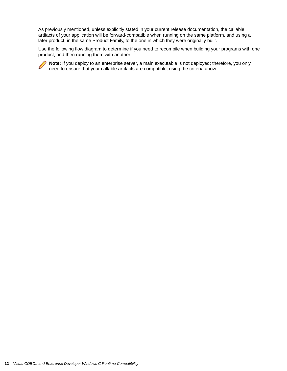As previously mentioned, unless explicitly stated in your current release documentation, the callable artifacts of your application will be forward-compatible when running on the same platform, and using a later product, in the same Product Family, to the one in which they were originally built.

Use the following flow diagram to determine if you need to recompile when building your programs with one product, and then running them with another:

**Note:** If you deploy to an enterprise server, a main executable is not deployed; therefore, you only need to ensure that your callable artifacts are compatible, using the criteria above.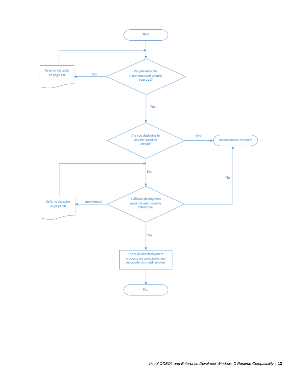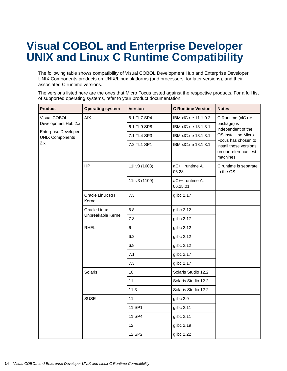### <span id="page-13-0"></span>**Visual COBOL and Enterprise Developer UNIX and Linux C Runtime Compatibility**

The following table shows compatibility of Visual COBOL Development Hub and Enterprise Developer UNIX Components products on UNIX/Linux platforms (and processors, for later versions), and their associated C runtime versions.

The versions listed here are the ones that Micro Focus tested against the respective products. For a full list of supported operating systems, refer to your product documentation.

| <b>Product</b>                                        | <b>Operating system</b>            | <b>Version</b> | <b>C</b> Runtime Version    | <b>Notes</b>                                                                        |
|-------------------------------------------------------|------------------------------------|----------------|-----------------------------|-------------------------------------------------------------------------------------|
| Visual COBOL                                          | <b>AIX</b>                         | 6.1 TL7 SP4    | IBM xIC.rte 11.1.0.2        | C Runtime (xIC.rte                                                                  |
| Development Hub 2.x                                   |                                    | 6.1 TL9 SP8    | IBM xIC.rte 13.1.3.1        | package) is<br>independent of the                                                   |
| <b>Enterprise Developer</b><br><b>UNIX Components</b> |                                    | 7.1 TL4 SP3    | IBM xIC.rte 13.1.3.1        | OS install, so Micro                                                                |
| 2.x                                                   |                                    | 7.2 TL1 SP1    | IBM xIC.rte 13.1.3.1        | Focus has chosen to<br>install these versions<br>on our reference test<br>machines. |
|                                                       | <b>HP</b>                          | 11i v3 (1603)  | aC++ runtime A.<br>06.28    | C runtime is separate<br>to the OS.                                                 |
|                                                       |                                    | 11i v3 (1109)  | aC++ runtime A.<br>06.25.01 |                                                                                     |
|                                                       | Oracle Linux RH<br>Kernel          | 7.3            | glibc 2.17                  |                                                                                     |
|                                                       | Oracle Linux<br>Unbreakable Kernel | 6.8            | glibc 2.12                  |                                                                                     |
|                                                       |                                    | 7.3            | glibc 2.17                  |                                                                                     |
|                                                       | <b>RHEL</b>                        | 6              | glibc 2.12                  |                                                                                     |
|                                                       |                                    | 6.2            | glibc 2.12                  |                                                                                     |
|                                                       |                                    | 6.8            | glibc 2.12                  |                                                                                     |
|                                                       |                                    | 7.1            | glibc 2.17                  |                                                                                     |
|                                                       |                                    | 7.3            | glibc 2.17                  |                                                                                     |
|                                                       | Solaris                            | 10             | Solaris Studio 12.2         |                                                                                     |
|                                                       |                                    | 11             | Solaris Studio 12.2         |                                                                                     |
|                                                       |                                    | 11.3           | Solaris Studio 12.2         |                                                                                     |
|                                                       | <b>SUSE</b>                        | 11             | glibc 2.9                   |                                                                                     |
|                                                       |                                    | 11 SP1         | glibc 2.11                  |                                                                                     |
|                                                       |                                    | 11 SP4         | glibc 2.11                  |                                                                                     |
|                                                       |                                    | 12             | glibc 2.19                  |                                                                                     |
|                                                       |                                    | 12 SP2         | glibc 2.22                  |                                                                                     |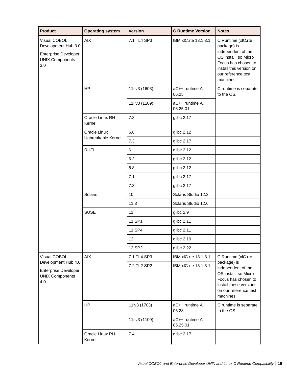| <b>Product</b>                                                                                      | <b>Operating system</b>   | <b>Version</b> | <b>C</b> Runtime Version    | <b>Notes</b>                                                                                                                                                         |
|-----------------------------------------------------------------------------------------------------|---------------------------|----------------|-----------------------------|----------------------------------------------------------------------------------------------------------------------------------------------------------------------|
| Visual COBOL<br>Development Hub 3.0<br><b>Enterprise Developer</b><br><b>UNIX Components</b><br>3.0 | <b>AIX</b>                | 7.1 TL4 SP3    | IBM xIC.rte 13.1.3.1        | C Runtime (xIC.rte<br>package) is<br>independent of the<br>OS install, so Micro<br>Focus has chosen to<br>install this version on<br>our reference test<br>machines. |
|                                                                                                     | <b>HP</b>                 | 11i v3 (1603)  | aC++ runtime A.<br>06.25    | C runtime is separate<br>to the OS.                                                                                                                                  |
|                                                                                                     |                           | 11i v3 (1109)  | aC++ runtime A.<br>06.25.01 |                                                                                                                                                                      |
|                                                                                                     | Oracle Linux RH<br>Kernel | 7.3            | glibc 2.17                  |                                                                                                                                                                      |
|                                                                                                     | Oracle Linux              | 6.8            | glibc 2.12                  |                                                                                                                                                                      |
|                                                                                                     | Unbreakable Kernel        | 7.3            | glibc 2.17                  |                                                                                                                                                                      |
|                                                                                                     | <b>RHEL</b>               | 6              | glibc 2.12                  |                                                                                                                                                                      |
|                                                                                                     |                           | 6.2            | glibc 2.12                  |                                                                                                                                                                      |
|                                                                                                     |                           | 6.8            | glibc 2.12                  |                                                                                                                                                                      |
|                                                                                                     |                           | 7.1            | glibc 2.17                  |                                                                                                                                                                      |
|                                                                                                     |                           | 7.3            | glibc 2.17                  |                                                                                                                                                                      |
|                                                                                                     | Solaris                   | 10             | Solaris Studio 12.2         |                                                                                                                                                                      |
|                                                                                                     |                           | 11.3           | Solaris Studio 12.6         |                                                                                                                                                                      |
|                                                                                                     | <b>SUSE</b>               | 11             | glibc 2.9                   |                                                                                                                                                                      |
|                                                                                                     |                           | 11 SP1         | glibc 2.11                  |                                                                                                                                                                      |
|                                                                                                     |                           | 11 SP4         | glibc 2.11                  |                                                                                                                                                                      |
|                                                                                                     |                           | 12             | glibc 2.19                  |                                                                                                                                                                      |
|                                                                                                     |                           | 12 SP2         | glibc 2.22                  |                                                                                                                                                                      |
| Visual COBOL                                                                                        | <b>AIX</b>                | 7.1 TL4 SP3    | IBM xIC.rte 13.1.3.1        | C Runtime (xIC.rte                                                                                                                                                   |
| Development Hub 4.0<br><b>Enterprise Developer</b><br><b>UNIX Components</b><br>4.0                 |                           | 7.2 TL2 SP2    | IBM xIC.rte 13.1.3.1        | package) is<br>independent of the<br>OS install, so Micro<br>Focus has chosen to<br>install these versions<br>on our reference test<br>machines.                     |
|                                                                                                     | <b>HP</b>                 | 11iv3 (1703)   | aC++ runtime A.<br>06.28    | C runtime is separate<br>to the OS.                                                                                                                                  |
|                                                                                                     |                           | 11i v3 (1109)  | aC++ runtime A.<br>06.25.01 |                                                                                                                                                                      |
|                                                                                                     | Oracle Linux RH<br>Kernel | 7.4            | glibc 2.17                  |                                                                                                                                                                      |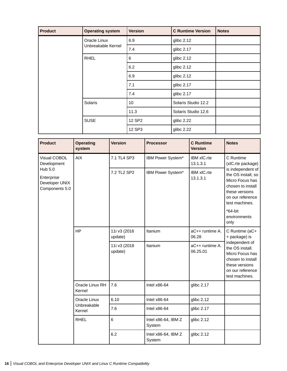| <b>Product</b> | <b>Operating system</b> | <b>Version</b> | <b>C</b> Runtime Version | <b>Notes</b> |
|----------------|-------------------------|----------------|--------------------------|--------------|
|                | Oracle Linux            | 6.9            | glibc 2.12               |              |
|                | Unbreakable Kernel      | 7.4            | glibc 2.17               |              |
|                | <b>RHEL</b>             | 6              | glibc 2.12               |              |
|                |                         | 6.2            | glibc 2.12               |              |
|                |                         | 6.9            | glibc 2.12               |              |
|                |                         | 7.1            | glibc 2.17               |              |
|                |                         | 7.4            | glibc 2.17               |              |
|                | Solaris                 | 10             | Solaris Studio 12.2      |              |
|                |                         | 11.3           | Solaris Studio 12.6      |              |
|                | <b>SUSE</b>             | 12 SP2         | glibc 2.22               |              |
|                |                         | 12 SP3         | glibc 2.22               |              |

| <b>Product</b>                                            | <b>Operating</b><br>system | <b>Version</b>          | <b>Processor</b>              | <b>C</b> Runtime<br><b>Version</b> | <b>Notes</b>                                                                                                                                                                  |
|-----------------------------------------------------------|----------------------------|-------------------------|-------------------------------|------------------------------------|-------------------------------------------------------------------------------------------------------------------------------------------------------------------------------|
| Visual COBOL<br>Development                               | <b>AIX</b>                 | 7.1 TL4 SP3             | IBM Power System*             | IBM xIC.rte<br>13.1.3.1            | C Runtime<br>(xIC.rte package)                                                                                                                                                |
| Hub 5.0<br>Enterprise<br>Developer UNIX<br>Components 5.0 |                            | 7.2 TL2 SP2             | IBM Power System*             | <b>IBM xIC.rte</b><br>13.1.3.1     | is independent of<br>the OS install, so<br>Micro Focus has<br>chosen to install<br>these versions<br>on our reference<br>test machines.<br>$*64$ -bit<br>environments<br>only |
|                                                           | <b>HP</b>                  | 11i v3 (2016<br>update) | Itanium                       | aC++ runtime A.<br>06.28           | C Runtime (aC+<br>+ package) is                                                                                                                                               |
|                                                           |                            | 11i v3 (2018<br>update) | Itanium                       | aC++ runtime A.<br>06.25.01        | independent of<br>the OS install.<br>Micro Focus has<br>chosen to install<br>these versions<br>on our reference<br>test machines.                                             |
|                                                           | Oracle Linux RH<br>Kernel  | 7.6                     | Intel $x86-64$                | glibc 2.17                         |                                                                                                                                                                               |
|                                                           | Oracle Linux               | 6.10                    | Intel $x86-64$                | glibc 2.12                         |                                                                                                                                                                               |
| Kernel<br><b>RHEL</b>                                     | Unbreakable                | 7.6                     | Intel $x86-64$                | glibc 2.17                         |                                                                                                                                                                               |
|                                                           |                            | 6                       | Intel x86-64, IBM Z<br>System | glibc 2.12                         |                                                                                                                                                                               |
|                                                           |                            | 6.2                     | Intel x86-64, IBM Z<br>System | glibc 2.12                         |                                                                                                                                                                               |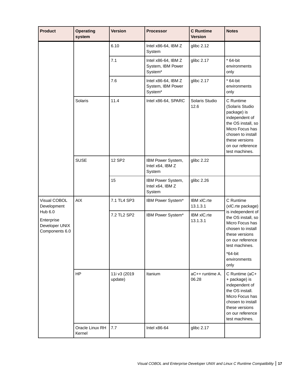| <b>Product</b>                                            | <b>Operating</b><br>system | <b>Version</b>          | <b>Processor</b>                                                | <b>C</b> Runtime<br><b>Version</b> | <b>Notes</b>                                                                                                                                                                        |
|-----------------------------------------------------------|----------------------------|-------------------------|-----------------------------------------------------------------|------------------------------------|-------------------------------------------------------------------------------------------------------------------------------------------------------------------------------------|
|                                                           |                            | 6.10                    | Intel x86-64, IBM Z<br>System                                   | glibc 2.12                         |                                                                                                                                                                                     |
|                                                           |                            | 7.1                     | Intel x86-64, IBM Z<br>System, IBM Power<br>System*             | glibc 2.17                         | $*64$ -bit<br>environments<br>only                                                                                                                                                  |
|                                                           |                            | 7.6                     | Intel x86-64, IBM Z<br>System, IBM Power<br>System <sup>*</sup> | glibc 2.17                         | $*64$ -bit<br>environments<br>only                                                                                                                                                  |
|                                                           | Solaris                    | 11.4                    | Intel x86-64, SPARC                                             | Solaris Studio<br>12.6             | C Runtime<br>(Solaris Studio<br>package) is<br>independent of<br>the OS install, so<br>Micro Focus has<br>chosen to install<br>these versions<br>on our reference<br>test machines. |
|                                                           | <b>SUSE</b>                | 12 SP2                  | IBM Power System,<br>Intel x64, IBM Z<br>System                 | glibc 2.22                         |                                                                                                                                                                                     |
|                                                           |                            | 15                      | IBM Power System,<br>Intel x64, IBM Z<br>System                 | glibc 2.26                         |                                                                                                                                                                                     |
| Visual COBOL<br>Development                               | <b>AIX</b>                 | 7.1 TL4 SP3             | IBM Power System*                                               | IBM xIC.rte<br>13.1.3.1            | C Runtime<br>(xIC.rte package)                                                                                                                                                      |
| Hub 6.0<br>Enterprise<br>Developer UNIX<br>Components 6.0 |                            | 7.2 TL2 SP2             | IBM Power System*                                               | IBM xIC.rte<br>13.1.3.1            | is independent of<br>the OS install, so<br>Micro Focus has<br>chosen to install<br>these versions<br>on our reference<br>test machines.<br>$*64$ -bit<br>environments               |
|                                                           | <b>HP</b>                  | 11i v3 (2019<br>update) | Itanium                                                         | aC++ runtime A.<br>06.28           | only<br>C Runtime (aC+<br>+ package) is<br>independent of<br>the OS install.<br>Micro Focus has<br>chosen to install<br>these versions<br>on our reference<br>test machines.        |
|                                                           | Oracle Linux RH<br>Kernel  | 7.7                     | Intel x86-64                                                    | glibc 2.17                         |                                                                                                                                                                                     |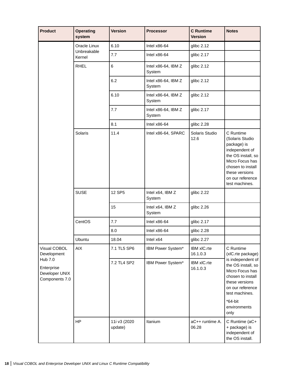| <b>Product</b>                                            | <b>Operating</b><br>system | <b>Version</b>          | <b>Processor</b>              | <b>C</b> Runtime<br><b>Version</b> | <b>Notes</b>                                                                                                                                                                        |
|-----------------------------------------------------------|----------------------------|-------------------------|-------------------------------|------------------------------------|-------------------------------------------------------------------------------------------------------------------------------------------------------------------------------------|
|                                                           | Oracle Linux               | 6.10                    | Intel $x86-64$                | glibc 2.12                         |                                                                                                                                                                                     |
|                                                           | Unbreakable<br>Kernel      | 7.7                     | Intel $x86-64$                | glibc 2.17                         |                                                                                                                                                                                     |
|                                                           | <b>RHEL</b>                | 6                       | Intel x86-64, IBM Z<br>System | glibc 2.12                         |                                                                                                                                                                                     |
|                                                           |                            | 6.2                     | Intel x86-64, IBM Z<br>System | glibc 2.12                         |                                                                                                                                                                                     |
|                                                           |                            | 6.10                    | Intel x86-64, IBM Z<br>System | glibc 2.12                         |                                                                                                                                                                                     |
|                                                           |                            | 7.7                     | Intel x86-64, IBM Z<br>System | glibc 2.17                         |                                                                                                                                                                                     |
|                                                           |                            | 8.1                     | Intel $x86-64$                | glibc 2.28                         |                                                                                                                                                                                     |
|                                                           | Solaris                    | 11.4                    | Intel x86-64, SPARC           | Solaris Studio<br>12.6             | C Runtime<br>(Solaris Studio<br>package) is<br>independent of<br>the OS install, so<br>Micro Focus has<br>chosen to install<br>these versions<br>on our reference<br>test machines. |
|                                                           | <b>SUSE</b>                | 12 SP5                  | Intel x64, IBM Z<br>System    | glibc 2.22                         |                                                                                                                                                                                     |
|                                                           |                            | 15                      | Intel x64, IBM Z<br>System    | glibc 2.26                         |                                                                                                                                                                                     |
|                                                           | CentOS                     | 7.7                     | Intel $x86-64$                | glibc 2.17                         |                                                                                                                                                                                     |
|                                                           |                            | 8.0                     | Intel x86-64                  | glibc 2.28                         |                                                                                                                                                                                     |
|                                                           | Ubuntu                     | 18.04                   | Intel x64                     | glibc 2.27                         |                                                                                                                                                                                     |
| Visual COBOL<br>Development                               | AIX                        | 7.1 TL5 SP6             | IBM Power System*             | IBM xIC.rte<br>16.1.0.3            | C Runtime<br>(xlC.rte package)                                                                                                                                                      |
| Hub 7.0<br>Enterprise<br>Developer UNIX<br>Components 7.0 |                            | 7.2 TL4 SP2             | IBM Power System*             | IBM xIC.rte<br>16.1.0.3            | is independent of<br>the OS install, so<br>Micro Focus has<br>chosen to install<br>these versions<br>on our reference<br>test machines.<br>$*64$ -bit<br>environments<br>only       |
|                                                           | <b>HP</b>                  | 11i v3 (2020<br>update) | Itanium                       | aC++ runtime A.<br>06.28           | C Runtime (aC+<br>+ package) is<br>independent of<br>the OS install.                                                                                                                |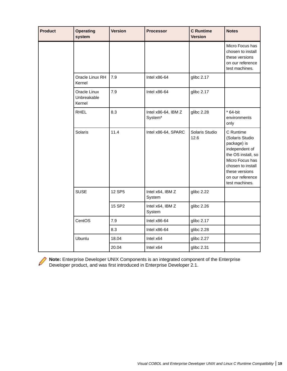| <b>Product</b> | <b>Operating</b><br>system            | <b>Version</b> | <b>Processor</b>                           | <b>C</b> Runtime<br><b>Version</b> | <b>Notes</b>                                                                                                                                                                        |
|----------------|---------------------------------------|----------------|--------------------------------------------|------------------------------------|-------------------------------------------------------------------------------------------------------------------------------------------------------------------------------------|
|                |                                       |                |                                            |                                    | Micro Focus has<br>chosen to install<br>these versions<br>on our reference<br>test machines.                                                                                        |
|                | Oracle Linux RH<br>Kernel             | 7.9            | Intel x86-64                               | glibc 2.17                         |                                                                                                                                                                                     |
|                | Oracle Linux<br>Unbreakable<br>Kernel | 7.9            | Intel $x86-64$                             | glibc 2.17                         |                                                                                                                                                                                     |
|                | <b>RHEL</b>                           | 8.3            | Intel x86-64, IBM Z<br>System <sup>*</sup> | glibc 2.28                         | * 64-bit<br>environments<br>only                                                                                                                                                    |
|                | Solaris                               | 11.4           | Intel x86-64, SPARC                        | Solaris Studio<br>12.6             | C Runtime<br>(Solaris Studio<br>package) is<br>independent of<br>the OS install, so<br>Micro Focus has<br>chosen to install<br>these versions<br>on our reference<br>test machines. |
|                | <b>SUSE</b>                           | 12 SP5         | Intel x64, IBM Z<br>System                 | glibc 2.22                         |                                                                                                                                                                                     |
|                |                                       | 15 SP2         | Intel x64, IBM Z<br>System                 | glibc 2.26                         |                                                                                                                                                                                     |
|                | CentOS                                | 7.9            | Intel $x86-64$                             | glibc 2.17                         |                                                                                                                                                                                     |
|                |                                       | 8.3            | Intel x86-64                               | glibc 2.28                         |                                                                                                                                                                                     |
|                | Ubuntu                                | 18.04          | Intel x64                                  | glibc 2.27                         |                                                                                                                                                                                     |
|                |                                       | 20.04          | Intel x64                                  | glibc 2.31                         |                                                                                                                                                                                     |

**Note:** Enterprise Developer UNIX Components is an integrated component of the Enterprise Developer product, and was first introduced in Enterprise Developer 2.1.

Í